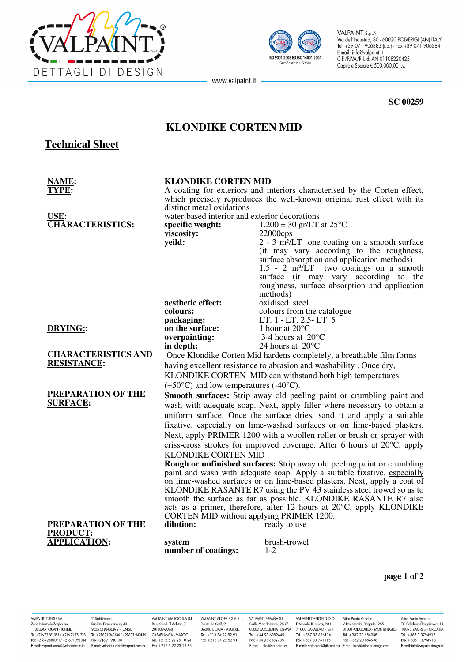



VALPAINT S.p.A. VALPAINT S.p.A.<br>Via dell'Industria, 80 - 60020 POLVERIGI (AN) ITALY<br>Tel. +39 071 906383 (r.a.) - Fax +39 071 906384<br>E-mail: info@valpaint.it<br>C.F./P.IVA/R.I. di AN 01108220425 Capitale Sociale € 500.000,00 i.v.

www.valpaint.it -

**SC 00259** 

## **KLONDIKE CORTEN MID**

# **Technical Sheet**

| NAME:                                            | <b>KLONDIKE CORTEN MID</b>                                                                                                                                                                                                                                                                                                                                                                                                                                                                                                                                                                                                        |                                                                                                                    |
|--------------------------------------------------|-----------------------------------------------------------------------------------------------------------------------------------------------------------------------------------------------------------------------------------------------------------------------------------------------------------------------------------------------------------------------------------------------------------------------------------------------------------------------------------------------------------------------------------------------------------------------------------------------------------------------------------|--------------------------------------------------------------------------------------------------------------------|
| YPE:                                             | A coating for exteriors and interiors characterised by the Corten effect,                                                                                                                                                                                                                                                                                                                                                                                                                                                                                                                                                         |                                                                                                                    |
|                                                  | which precisely reproduces the well-known original rust effect with its                                                                                                                                                                                                                                                                                                                                                                                                                                                                                                                                                           |                                                                                                                    |
|                                                  | distinct metal oxidations                                                                                                                                                                                                                                                                                                                                                                                                                                                                                                                                                                                                         |                                                                                                                    |
| USE:                                             | water-based interior and exterior decorations                                                                                                                                                                                                                                                                                                                                                                                                                                                                                                                                                                                     |                                                                                                                    |
| <b>CHARACTERISTICS:</b>                          | specific weight:                                                                                                                                                                                                                                                                                                                                                                                                                                                                                                                                                                                                                  | $1.200 \pm 30$ gr/LT at 25 <sup>o</sup> C                                                                          |
|                                                  | viscosity:                                                                                                                                                                                                                                                                                                                                                                                                                                                                                                                                                                                                                        | 22000cps                                                                                                           |
|                                                  | yeild:                                                                                                                                                                                                                                                                                                                                                                                                                                                                                                                                                                                                                            | 2 - 3 m <sup>2</sup> /LT one coating on a smooth surface                                                           |
|                                                  |                                                                                                                                                                                                                                                                                                                                                                                                                                                                                                                                                                                                                                   | (it may vary according to the roughness,                                                                           |
|                                                  |                                                                                                                                                                                                                                                                                                                                                                                                                                                                                                                                                                                                                                   | surface absorption and application methods)<br>$1,5$ - 2 m <sup>2</sup> / $\overline{LT}$ two coatings on a smooth |
|                                                  |                                                                                                                                                                                                                                                                                                                                                                                                                                                                                                                                                                                                                                   | surface (it may vary according to the                                                                              |
|                                                  |                                                                                                                                                                                                                                                                                                                                                                                                                                                                                                                                                                                                                                   | roughness, surface absorption and application                                                                      |
|                                                  |                                                                                                                                                                                                                                                                                                                                                                                                                                                                                                                                                                                                                                   | methods)                                                                                                           |
|                                                  | aesthetic effect:                                                                                                                                                                                                                                                                                                                                                                                                                                                                                                                                                                                                                 | oxidised steel                                                                                                     |
|                                                  | colours:                                                                                                                                                                                                                                                                                                                                                                                                                                                                                                                                                                                                                          | colours from the catalogue                                                                                         |
|                                                  | packaging:                                                                                                                                                                                                                                                                                                                                                                                                                                                                                                                                                                                                                        | LT. 1 - LT. 2,5 - LT. 5                                                                                            |
| <b>DRYING::</b>                                  | on the surface:                                                                                                                                                                                                                                                                                                                                                                                                                                                                                                                                                                                                                   | 1 hour at $20^{\circ}$ C                                                                                           |
|                                                  | overpainting:                                                                                                                                                                                                                                                                                                                                                                                                                                                                                                                                                                                                                     | 3-4 hours at $20^{\circ}$ C                                                                                        |
|                                                  | in depth:                                                                                                                                                                                                                                                                                                                                                                                                                                                                                                                                                                                                                         | 24 hours at 20°C                                                                                                   |
| <b>CHARACTERISTICS AND</b><br><b>RESISTANCE:</b> | Once Klondike Corten Mid hardens completely, a breathable film forms                                                                                                                                                                                                                                                                                                                                                                                                                                                                                                                                                              |                                                                                                                    |
|                                                  | having excellent resistance to abrasion and washability. Once dry,                                                                                                                                                                                                                                                                                                                                                                                                                                                                                                                                                                |                                                                                                                    |
|                                                  | KLONDIKE CORTEN MID can withstand both high temperatures                                                                                                                                                                                                                                                                                                                                                                                                                                                                                                                                                                          |                                                                                                                    |
|                                                  | $(+50^{\circ}C)$ and low temperatures $(-40^{\circ}C)$ .                                                                                                                                                                                                                                                                                                                                                                                                                                                                                                                                                                          |                                                                                                                    |
| PREPARATION OF THE<br><b>SURFACE:</b>            |                                                                                                                                                                                                                                                                                                                                                                                                                                                                                                                                                                                                                                   | Smooth surfaces: Strip away old peeling paint or crumbling paint and                                               |
|                                                  | wash with adequate soap. Next, apply filler where necessary to obtain a                                                                                                                                                                                                                                                                                                                                                                                                                                                                                                                                                           |                                                                                                                    |
|                                                  | uniform surface. Once the surface dries, sand it and apply a suitable                                                                                                                                                                                                                                                                                                                                                                                                                                                                                                                                                             |                                                                                                                    |
|                                                  | fixative, especially on lime-washed surfaces or on lime-based plasters.                                                                                                                                                                                                                                                                                                                                                                                                                                                                                                                                                           |                                                                                                                    |
|                                                  | Next, apply PRIMER 1200 with a woollen roller or brush or sprayer with<br>criss-cross strokes for improved coverage. After 6 hours at 20°C, apply<br>KLONDIKE CORTEN MID.<br><b>Rough or unfinished surfaces:</b> Strip away old peeling paint or crumbling<br>paint and wash with adequate soap. Apply a suitable fixative, especially<br>on lime-washed surfaces or on lime-based plasters. Next, apply a coat of KLONDIKE RASANTE R7 using the PV 43 stainless steel trowel so as to<br>smooth the surface as far as possible. KLONDIKE RASANTE R7 also<br>acts as a primer, therefore, after 12 hours at 20°C, apply KLONDIKE |                                                                                                                    |
|                                                  |                                                                                                                                                                                                                                                                                                                                                                                                                                                                                                                                                                                                                                   |                                                                                                                    |
|                                                  |                                                                                                                                                                                                                                                                                                                                                                                                                                                                                                                                                                                                                                   |                                                                                                                    |
|                                                  |                                                                                                                                                                                                                                                                                                                                                                                                                                                                                                                                                                                                                                   |                                                                                                                    |
|                                                  |                                                                                                                                                                                                                                                                                                                                                                                                                                                                                                                                                                                                                                   |                                                                                                                    |
|                                                  |                                                                                                                                                                                                                                                                                                                                                                                                                                                                                                                                                                                                                                   |                                                                                                                    |
|                                                  |                                                                                                                                                                                                                                                                                                                                                                                                                                                                                                                                                                                                                                   |                                                                                                                    |
|                                                  |                                                                                                                                                                                                                                                                                                                                                                                                                                                                                                                                                                                                                                   |                                                                                                                    |
|                                                  |                                                                                                                                                                                                                                                                                                                                                                                                                                                                                                                                                                                                                                   |                                                                                                                    |
|                                                  | CORTEN MID without applying PRIMER 1200.                                                                                                                                                                                                                                                                                                                                                                                                                                                                                                                                                                                          |                                                                                                                    |
| PREPARATION OF THE                               | dilution:                                                                                                                                                                                                                                                                                                                                                                                                                                                                                                                                                                                                                         | ready to use                                                                                                       |
| <b>PRODUCT:</b>                                  |                                                                                                                                                                                                                                                                                                                                                                                                                                                                                                                                                                                                                                   |                                                                                                                    |
| <b>APPLICATION:</b>                              | system                                                                                                                                                                                                                                                                                                                                                                                                                                                                                                                                                                                                                            | brush-trowel                                                                                                       |
|                                                  | number of coatings:                                                                                                                                                                                                                                                                                                                                                                                                                                                                                                                                                                                                               | $1 - 2$                                                                                                            |

**page 1 of 2**

VALPAINT TUNISIE S.A. Zone Industrielle Zaghouan<br>1100 ZAGHOUAN - TUNISIE Tel. +21672681051/+21671751223 Fax +21672681071 / +21671751210<br>Fax +21672681071 / +21671 751344<br>E-mail: valpaint.tunisie@valpaint.com.tn

2° Stabilimento 2 JABAILITES IN<br>Rue Des Entrepreneurs, 43<br>2035 CHARGUIA 2 - TUNISIE<br>Tel. +216 71 940134 / +216 71 940136 Fax +216 71 940138 E-mail: valpaint.tunisie@valpaint.com.tn

VALPAINT MAROC S.A.R.L Rue Kaied El Achtar, 7 20100 MAARIF CASABLANCA - MAROC Tel. +212 5 22 25 10 24<br>Fax +212 5 22 23 19 65

VALPAINT ALGERIE S.A.R.L. Route de Setif, 9<br>06000 BEJAIA - ALGERIE Tel. +213 34 22 52 91 Fax +213 34 22 52 91

VALPAINT ESPAÑA S.L. Calle Magdalenes, 25 3°<br>08002 BARCELONA - ESPAÑA Tel. +34 93 6382645 Fax +34 93 6382735 E-mail: info@valpaint.es

VALPAINT DESIGN D.O.O. Altro Punto Vendita: Airro Punto venaira:<br>V Proleterske Brigade, 255<br>81000 PODGORICA - MONTENEGRO Džemala Bijedica, 281<br>71000 SARAJEVO - BiH<br>Tel. +387 33 626134 Tel. +382 20 656938 Fax +387 33 761115 Fax +382 20 656938 E-mail: valpaint@bih.net.ba E-mail: info@valpaint-desian.com

Altro Punto Vendita:<br>TC Solidum-Škorpikova, 11<br>10090 ZAGREB - CROATIA<br>Tel. +385 1 3794918 Fax +385 1 3794918 E-mail: info@valpaint-desian.hr